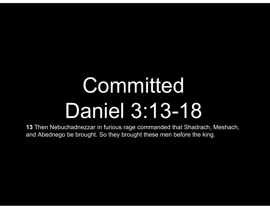# **Committed** Daniel 3:13-18

13 Then Nebuchadnezzar in furious rage commanded that Shadrach, Meshach, and Abednego be brought. So they brought these men before the king.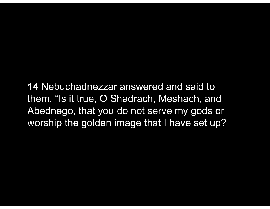14 Nebuchadnezzar answered and said to them, "Is it true, O Shadrach, Meshach, and Abednego, that you do not serve my gods or worship the golden image that I have set up?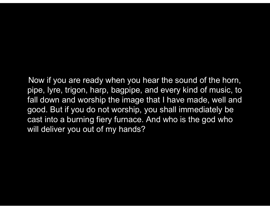Now if you are ready when you hear the sound of the horn, pipe, lyre, trigon, harp, bagpipe, and every kind of music, to fall down and worship the image that I have made, well and Now if you are ready when you hear the sound of the horn,<br>pipe, lyre, trigon, harp, bagpipe, and every kind of music, to<br>fall down and worship the image that I have made, well and<br>good. But if you do not worship, you shall cast into a burning fiery furnace. And who is the god who will deliver you out of my hands?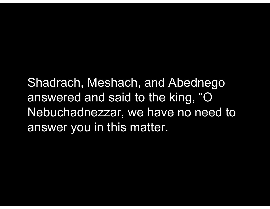Shadrach, Meshach, and Abednego answered and said to the king, "O Nebuchadnezzar, we have no need to answer you in this matter.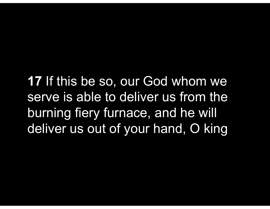17 If this be so, our God whom we serve is able to deliver us from the burning fiery furnace, and he will deliver us out of your hand, O king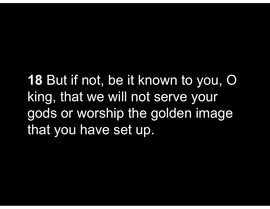18 But if not, be it known to you, O king, that we will not serve your gods or worship the golden image that you have set up.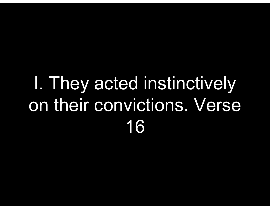#### I. They acted instinctively on their convictions. Verse 16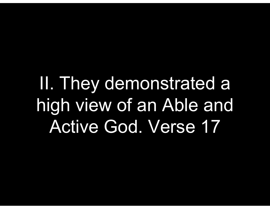II. They demonstrated a high view of an Able and Active God. Verse 17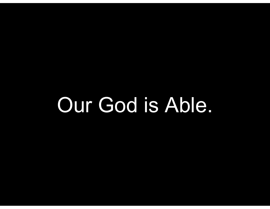## Our God is Able.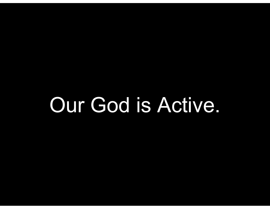## Our God is Active.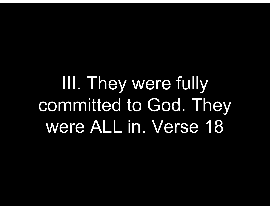III. They were fully committed to God. They were ALL in. Verse 18